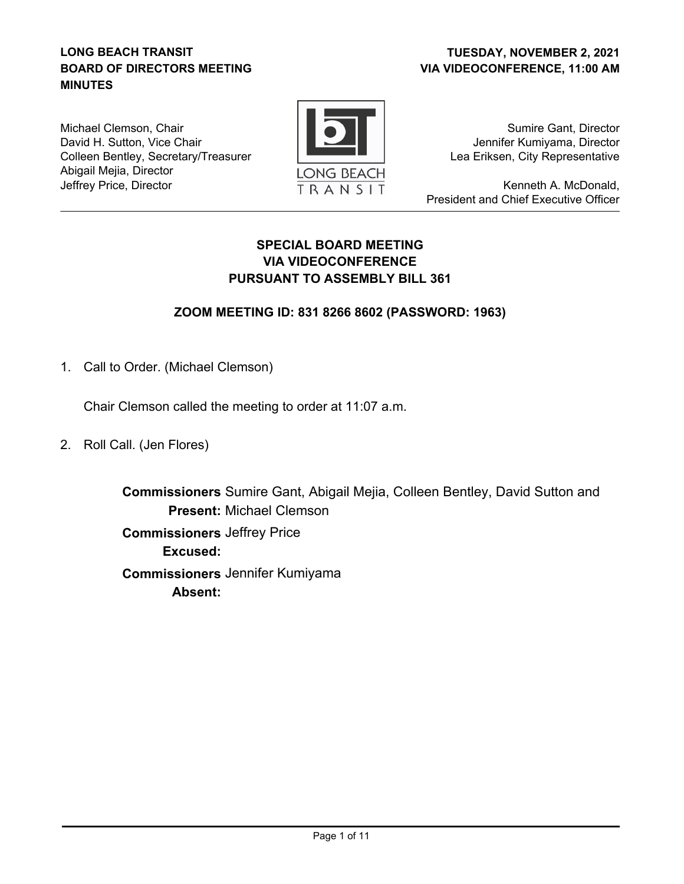### **LONG BEACH TRANSIT BOARD OF DIRECTORS MEETING MINUTES**

### **VIA VIDEOCONFERENCE, 11:00 AM TUESDAY, NOVEMBER 2, 2021**

Michael Clemson, Chair David H. Sutton, Vice Chair Colleen Bentley, Secretary/Treasurer Abigail Mejia, Director Jeffrey Price, Director



Sumire Gant, Director Jennifer Kumiyama, Director Lea Eriksen, City Representative

Kenneth A. McDonald, President and Chief Executive Officer

## **SPECIAL BOARD MEETING VIA VIDEOCONFERENCE PURSUANT TO ASSEMBLY BILL 361**

## **ZOOM MEETING ID: 831 8266 8602 (PASSWORD: 1963)**

1. Call to Order. (Michael Clemson)

Chair Clemson called the meeting to order at 11:07 a.m.

2. Roll Call. (Jen Flores)

**Commissioners** Sumire Gant, Abigail Mejia, Colleen Bentley, David Sutton and Present: Michael Clemson  **Commissioners** Jeffrey Price **Excused: Commissioners** Jennifer Kumiyama **Absent:**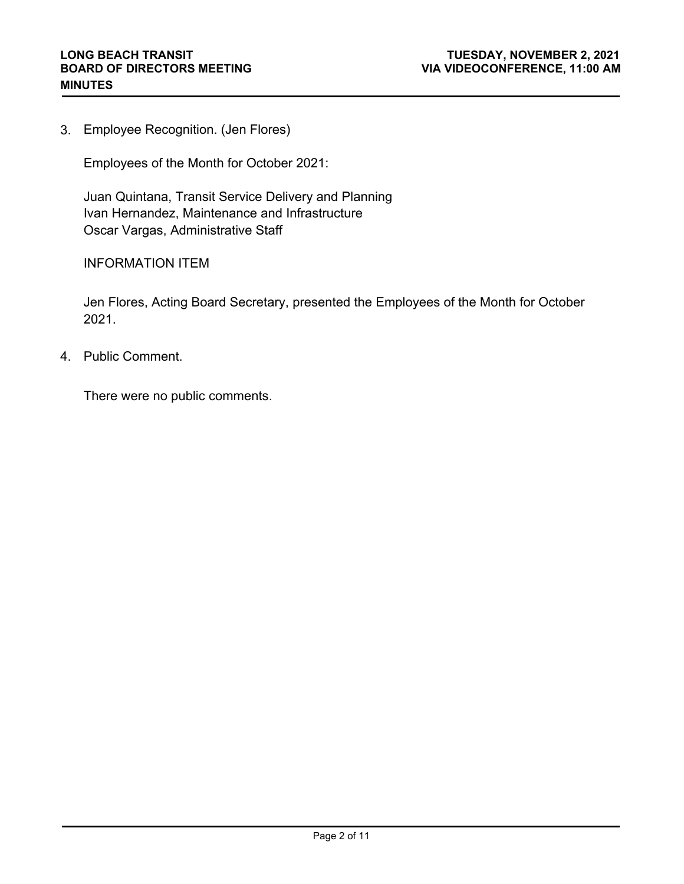Employee Recognition. (Jen Flores) 3.

Employees of the Month for October 2021:

Juan Quintana, Transit Service Delivery and Planning Ivan Hernandez, Maintenance and Infrastructure Oscar Vargas, Administrative Staff

INFORMATION ITEM

Jen Flores, Acting Board Secretary, presented the Employees of the Month for October 2021.

4. Public Comment.

There were no public comments.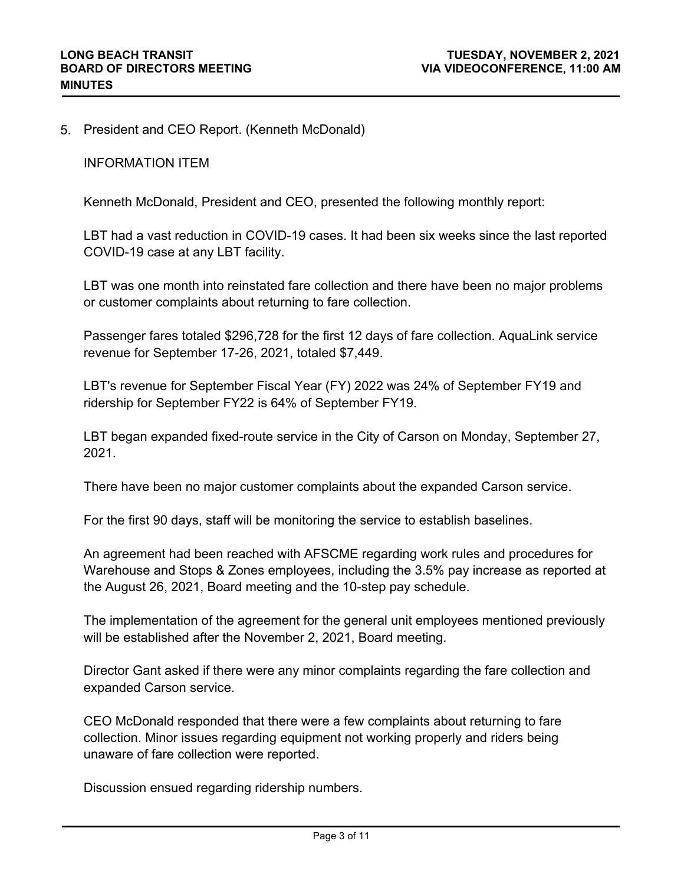5. President and CEO Report. (Kenneth McDonald)

INFORMATION ITEM

Kenneth McDonald, President and CEO, presented the following monthly report:

LBT had a vast reduction in COVID-19 cases. It had been six weeks since the last reported COVID-19 case at any LBT facility.

LBT was one month into reinstated fare collection and there have been no major problems or customer complaints about returning to fare collection.

Passenger fares totaled \$296,728 for the first 12 days of fare collection. AquaLink service revenue for September 17-26, 2021, totaled \$7,449.

LBT's revenue for September Fiscal Year (FY) 2022 was 24% of September FY19 and ridership for September FY22 is 64% of September FY19.

LBT began expanded fixed-route service in the City of Carson on Monday, September 27, 2021.

There have been no major customer complaints about the expanded Carson service.

For the first 90 days, staff will be monitoring the service to establish baselines.

An agreement had been reached with AFSCME regarding work rules and procedures for Warehouse and Stops & Zones employees, including the 3.5% pay increase as reported at the August 26, 2021, Board meeting and the 10-step pay schedule.

The implementation of the agreement for the general unit employees mentioned previously will be established after the November 2, 2021, Board meeting.

Director Gant asked if there were any minor complaints regarding the fare collection and expanded Carson service.

CEO McDonald responded that there were a few complaints about returning to fare collection. Minor issues regarding equipment not working properly and riders being unaware of fare collection were reported.

Discussion ensued regarding ridership numbers.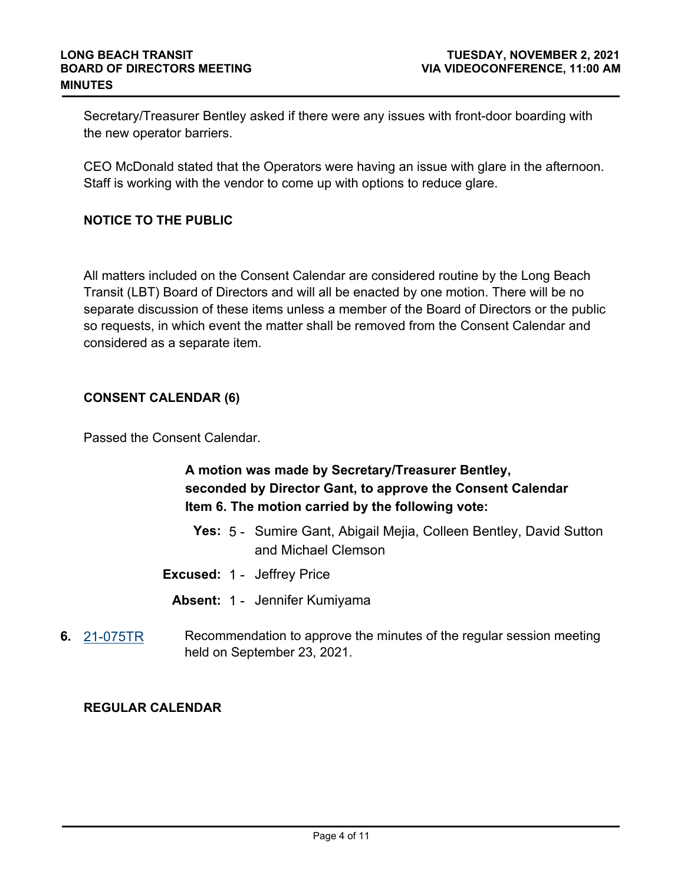Secretary/Treasurer Bentley asked if there were any issues with front-door boarding with the new operator barriers.

CEO McDonald stated that the Operators were having an issue with glare in the afternoon. Staff is working with the vendor to come up with options to reduce glare.

### **NOTICE TO THE PUBLIC**

All matters included on the Consent Calendar are considered routine by the Long Beach Transit (LBT) Board of Directors and will all be enacted by one motion. There will be no separate discussion of these items unless a member of the Board of Directors or the public so requests, in which event the matter shall be removed from the Consent Calendar and considered as a separate item.

### **CONSENT CALENDAR (6)**

Passed the Consent Calendar.

# **A motion was made by Secretary/Treasurer Bentley, seconded by Director Gant, to approve the Consent Calendar Item 6. The motion carried by the following vote:**

- **Yes:** 5 Sumire Gant, Abigail Mejia, Colleen Bentley, David Sutton and Michael Clemson
- **Excused:** 1 Jeffrey Price
	- **Absent:** 1 Jennifer Kumiyama
- **6.** [21-075TR](http://longbeach.legistar.com/gateway.aspx?M=L&ID=237243) Recommendation to approve the minutes of the regular session meeting held on September 23, 2021.

#### **REGULAR CALENDAR**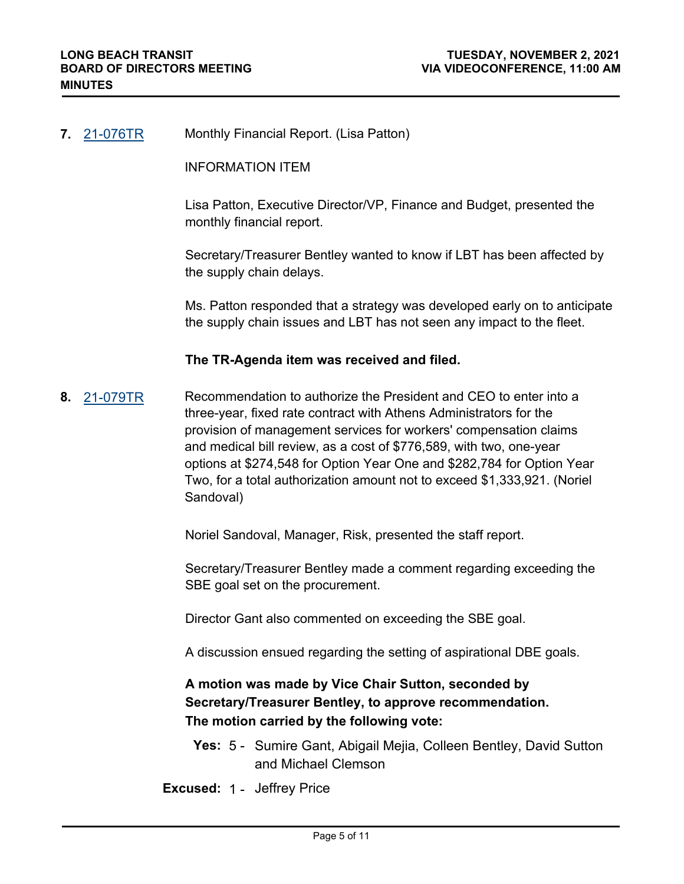#### **7.** [21-076TR](http://longbeach.legistar.com/gateway.aspx?M=L&ID=237245) Monthly Financial Report. (Lisa Patton)

INFORMATION ITEM

Lisa Patton, Executive Director/VP, Finance and Budget, presented the monthly financial report.

Secretary/Treasurer Bentley wanted to know if LBT has been affected by the supply chain delays.

Ms. Patton responded that a strategy was developed early on to anticipate the supply chain issues and LBT has not seen any impact to the fleet.

#### **The TR-Agenda item was received and filed.**

**8.** [21-079TR](http://longbeach.legistar.com/gateway.aspx?M=L&ID=237249) Recommendation to authorize the President and CEO to enter into a three-year, fixed rate contract with Athens Administrators for the provision of management services for workers' compensation claims and medical bill review, as a cost of \$776,589, with two, one-year options at \$274,548 for Option Year One and \$282,784 for Option Year Two, for a total authorization amount not to exceed \$1,333,921. (Noriel Sandoval)

Noriel Sandoval, Manager, Risk, presented the staff report.

Secretary/Treasurer Bentley made a comment regarding exceeding the SBE goal set on the procurement.

Director Gant also commented on exceeding the SBE goal.

A discussion ensued regarding the setting of aspirational DBE goals.

# **A motion was made by Vice Chair Sutton, seconded by Secretary/Treasurer Bentley, to approve recommendation. The motion carried by the following vote:**

**Yes:** 5 - Sumire Gant, Abigail Mejia, Colleen Bentley, David Sutton and Michael Clemson

**Excused:** 1 - Jeffrey Price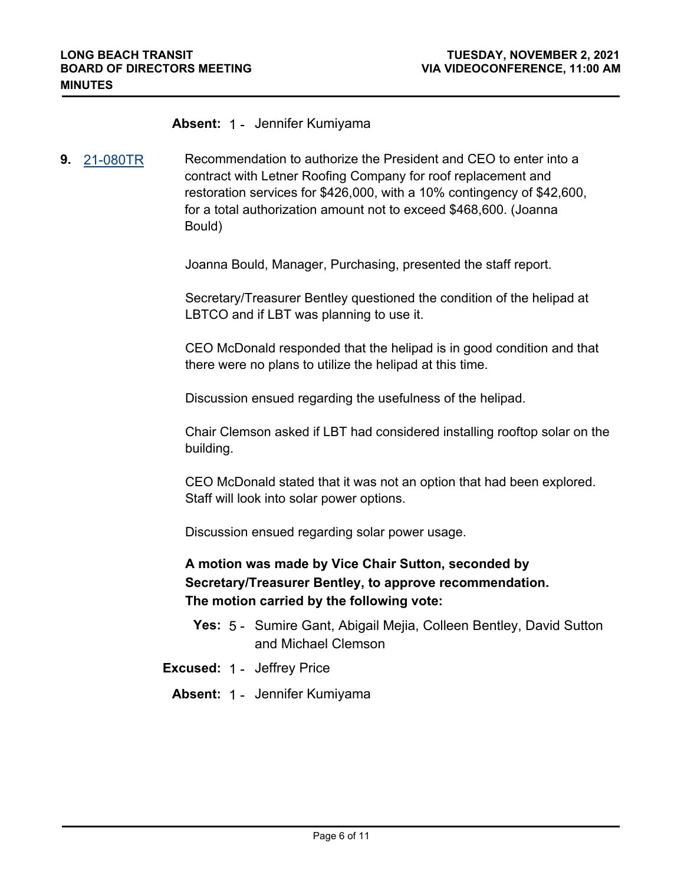#### **Absent:** 1 - Jennifer Kumiyama

**9.** [21-080TR](http://longbeach.legistar.com/gateway.aspx?M=L&ID=237250) Recommendation to authorize the President and CEO to enter into a contract with Letner Roofing Company for roof replacement and restoration services for \$426,000, with a 10% contingency of \$42,600, for a total authorization amount not to exceed \$468,600. (Joanna Bould)

Joanna Bould, Manager, Purchasing, presented the staff report.

Secretary/Treasurer Bentley questioned the condition of the helipad at LBTCO and if LBT was planning to use it.

CEO McDonald responded that the helipad is in good condition and that there were no plans to utilize the helipad at this time.

Discussion ensued regarding the usefulness of the helipad.

Chair Clemson asked if LBT had considered installing rooftop solar on the building.

CEO McDonald stated that it was not an option that had been explored. Staff will look into solar power options.

Discussion ensued regarding solar power usage.

**A motion was made by Vice Chair Sutton, seconded by Secretary/Treasurer Bentley, to approve recommendation. The motion carried by the following vote:**

- **Yes:** 5 Sumire Gant, Abigail Mejia, Colleen Bentley, David Sutton and Michael Clemson
- **Excused:** 1 Jeffrey Price
	- **Absent:** 1 Jennifer Kumiyama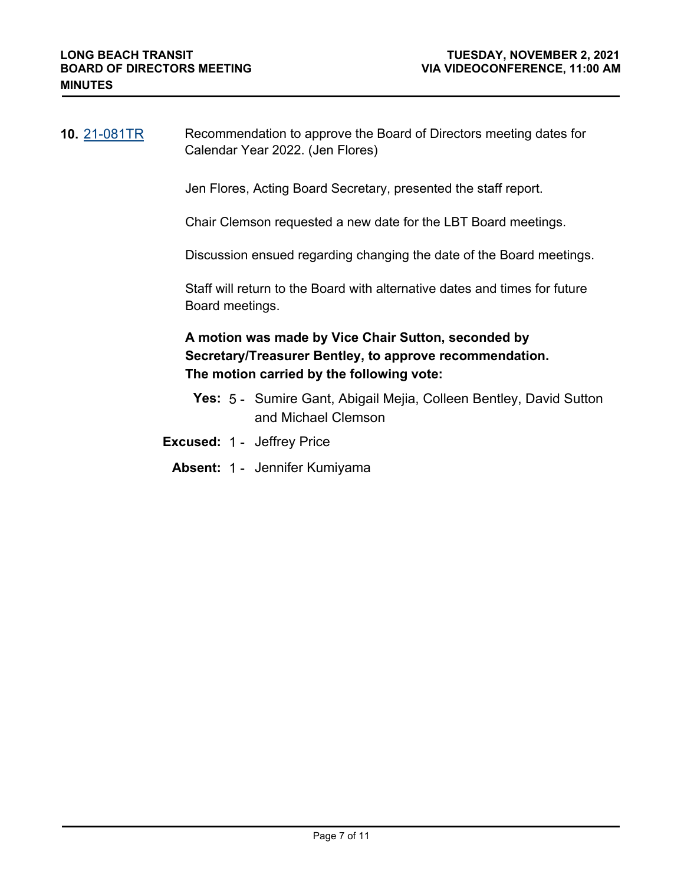**10.** [21-081TR](http://longbeach.legistar.com/gateway.aspx?M=L&ID=237251) Recommendation to approve the Board of Directors meeting dates for Calendar Year 2022. (Jen Flores)

Jen Flores, Acting Board Secretary, presented the staff report.

Chair Clemson requested a new date for the LBT Board meetings.

Discussion ensued regarding changing the date of the Board meetings.

Staff will return to the Board with alternative dates and times for future Board meetings.

## **A motion was made by Vice Chair Sutton, seconded by Secretary/Treasurer Bentley, to approve recommendation. The motion carried by the following vote:**

- **Yes:** 5 Sumire Gant, Abigail Mejia, Colleen Bentley, David Sutton and Michael Clemson
- **Excused:** 1 Jeffrey Price
	- **Absent:** 1 Jennifer Kumiyama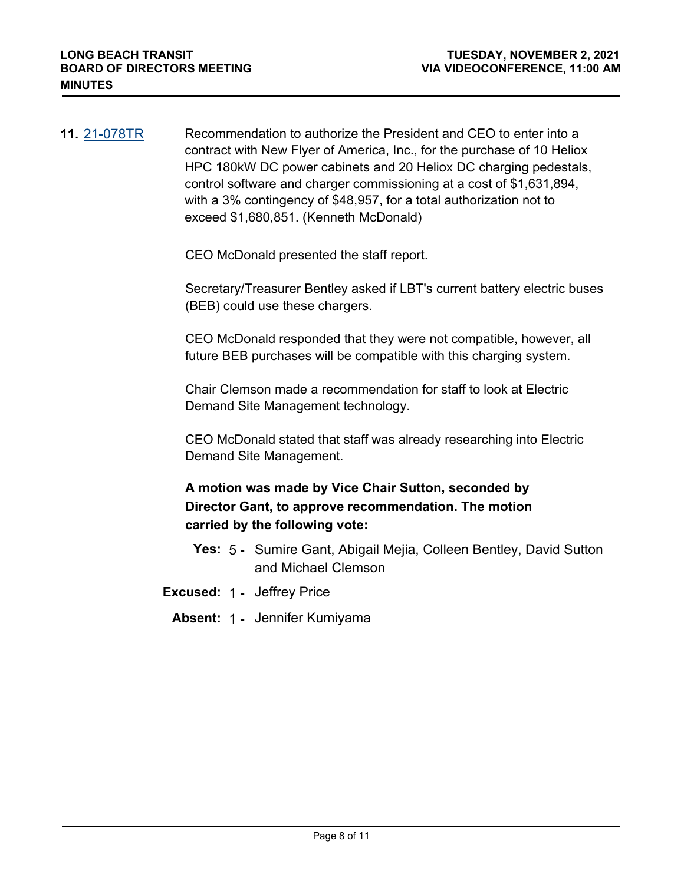**11.** [21-078TR](http://longbeach.legistar.com/gateway.aspx?M=L&ID=237248) Recommendation to authorize the President and CEO to enter into a contract with New Flyer of America, Inc., for the purchase of 10 Heliox HPC 180kW DC power cabinets and 20 Heliox DC charging pedestals, control software and charger commissioning at a cost of \$1,631,894, with a 3% contingency of \$48,957, for a total authorization not to exceed \$1,680,851. (Kenneth McDonald)

CEO McDonald presented the staff report.

Secretary/Treasurer Bentley asked if LBT's current battery electric buses (BEB) could use these chargers.

CEO McDonald responded that they were not compatible, however, all future BEB purchases will be compatible with this charging system.

Chair Clemson made a recommendation for staff to look at Electric Demand Site Management technology.

CEO McDonald stated that staff was already researching into Electric Demand Site Management.

# **A motion was made by Vice Chair Sutton, seconded by Director Gant, to approve recommendation. The motion carried by the following vote:**

- **Yes:** 5 Sumire Gant, Abigail Mejia, Colleen Bentley, David Sutton and Michael Clemson
- **Excused:** 1 Jeffrey Price
	- **Absent:** 1 Jennifer Kumiyama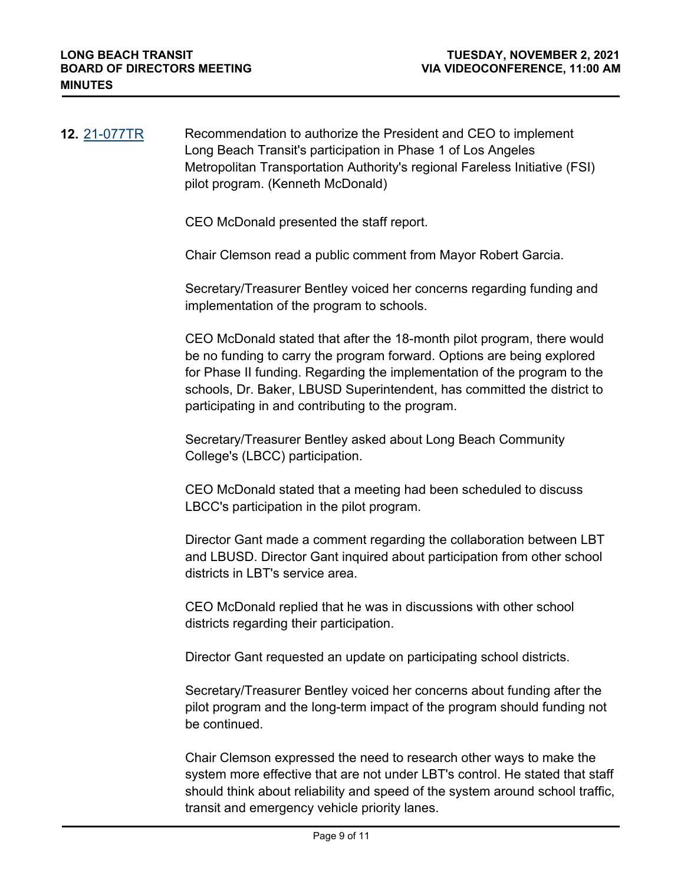| <b>12.</b> 21-077TR | Recommendation to authorize the President and CEO to implement             |
|---------------------|----------------------------------------------------------------------------|
|                     | Long Beach Transit's participation in Phase 1 of Los Angeles               |
|                     | Metropolitan Transportation Authority's regional Fareless Initiative (FSI) |
|                     | pilot program. (Kenneth McDonald)                                          |

CEO McDonald presented the staff report.

Chair Clemson read a public comment from Mayor Robert Garcia.

Secretary/Treasurer Bentley voiced her concerns regarding funding and implementation of the program to schools.

CEO McDonald stated that after the 18-month pilot program, there would be no funding to carry the program forward. Options are being explored for Phase II funding. Regarding the implementation of the program to the schools, Dr. Baker, LBUSD Superintendent, has committed the district to participating in and contributing to the program.

Secretary/Treasurer Bentley asked about Long Beach Community College's (LBCC) participation.

CEO McDonald stated that a meeting had been scheduled to discuss LBCC's participation in the pilot program.

Director Gant made a comment regarding the collaboration between LBT and LBUSD. Director Gant inquired about participation from other school districts in LBT's service area.

CEO McDonald replied that he was in discussions with other school districts regarding their participation.

Director Gant requested an update on participating school districts.

Secretary/Treasurer Bentley voiced her concerns about funding after the pilot program and the long-term impact of the program should funding not be continued.

Chair Clemson expressed the need to research other ways to make the system more effective that are not under LBT's control. He stated that staff should think about reliability and speed of the system around school traffic, transit and emergency vehicle priority lanes.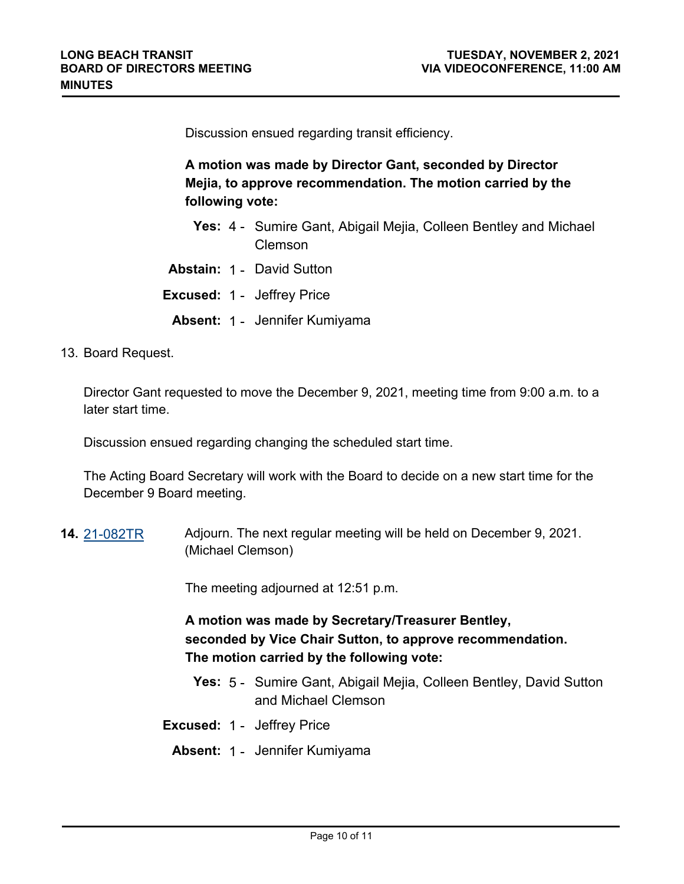Discussion ensued regarding transit efficiency.

**A motion was made by Director Gant, seconded by Director Mejia, to approve recommendation. The motion carried by the following vote:**

- **Yes:** 4 Sumire Gant, Abigail Mejia, Colleen Bentley and Michael Clemson
- **Abstain:** 1 David Sutton
- **Excused:** 1 Jeffrey Price
	- **Absent:** 1 Jennifer Kumiyama
- 13. Board Request.

Director Gant requested to move the December 9, 2021, meeting time from 9:00 a.m. to a later start time.

Discussion ensued regarding changing the scheduled start time.

The Acting Board Secretary will work with the Board to decide on a new start time for the December 9 Board meeting.

**14.** [21-082TR](http://longbeach.legistar.com/gateway.aspx?M=L&ID=237252) Adjourn. The next regular meeting will be held on December 9, 2021. (Michael Clemson)

The meeting adjourned at 12:51 p.m.

# **A motion was made by Secretary/Treasurer Bentley, seconded by Vice Chair Sutton, to approve recommendation. The motion carried by the following vote:**

- **Yes:** 5 Sumire Gant, Abigail Mejia, Colleen Bentley, David Sutton and Michael Clemson
- **Excused:** 1 Jeffrey Price
	- **Absent:** 1 Jennifer Kumiyama